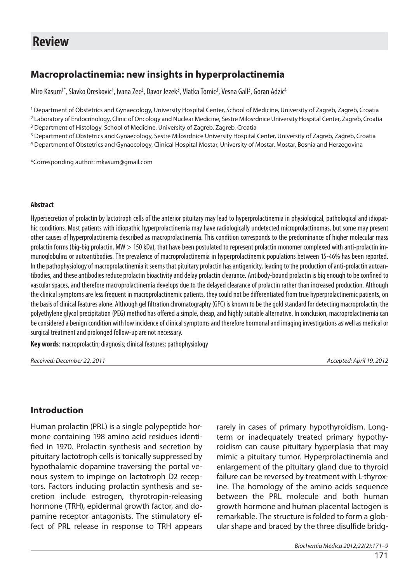# **Review**

# **Macroprolactinemia: new insights in hyperprolactinemia**

Miro Kasum<sup>1\*</sup>, Slavko Oreskovic<sup>1</sup>, Ivana Zec<sup>2</sup>, Davor Jezek<sup>3</sup>, Vlatka Tomic<sup>3</sup>, Vesna Gall<sup>3</sup>, Goran Adzic<sup>4</sup>

1 Department of Obstetrics and Gynaecology, University Hospital Center, School of Medicine, University of Zagreb, Zagreb, Croatia

<sup>2</sup> Laboratory of Endocrinology, Clinic of Oncology and Nuclear Medicine, Sestre Milosrdnice University Hospital Center, Zagreb, Croatia

<sup>3</sup> Department of Histology, School of Medicine, University of Zagreb, Zagreb, Croatia

<sup>3</sup> Department of Obstetrics and Gynaecology, Sestre Milosrdnice University Hospital Center, University of Zagreb, Zagreb, Croatia

4 Department of Obstetrics and Gynaecology, Clinical Hospital Mostar, University of Mostar, Mostar, Bosnia and Herzegovina

\*Corresponding author: mkasum@gmail.com

#### **Abstract**

Hypersecretion of prolactin by lactotroph cells of the anterior pituitary may lead to hyperprolactinemia in physiological, pathological and idiopathic conditions. Most patients with idiopathic hyperprolactinemia may have radiologically undetected microprolactinomas, but some may present other causes of hyperprolactinemia described as macroprolactinemia. This condition corresponds to the predominance of higher molecular mass prolactin forms (big-big prolactin, MW > 150 kDa), that have been postulated to represent prolactin monomer complexed with anti-prolactin immunoglobulins or autoantibodies. The prevalence of macroprolactinemia in hyperprolactinemic populations between 15-46% has been reported. In the pathophysiology of macroprolactinemia it seems that pituitary prolactin has antigenicity, leading to the production of anti-prolactin autoantibodies, and these antibodies reduce prolactin bioactivity and delay prolactin clearance. Antibody-bound prolactin is big enough to be confined to vascular spaces, and therefore macroprolactinemia develops due to the delayed clearance of prolactin rather than increased production. Although the clinical symptoms are less frequent in macroprolactinemic patients, they could not be differentiated from true hyperprolactinemic patients, on the basis of clinical features alone. Although gel filtration chromatography (GFC) is known to be the gold standard for detecting macroprolactin, the polyethylene glycol precipitation (PEG) method has offered a simple, cheap, and highly suitable alternative. In conclusion, macroprolactinemia can be considered a benign condition with low incidence of clinical symptoms and therefore hormonal and imaging investigations as well as medical or surgical treatment and prolonged follow-up are not necessary.

**Key words**: macroprolactin; diagnosis; clinical features; pathophysiology

Received: December 22, 2011 Accepted: April 19, 2012

### **Introduction**

Human prolactin (PRL) is a single polypeptide hormone containing 198 amino acid residues identified in 1970. Prolactin synthesis and secretion by pituitary lactotroph cells is tonically suppressed by hypothalamic dopamine traversing the portal venous system to impinge on lactotroph D2 receptors. Factors inducing prolactin synthesis and secretion include estrogen, thyrotropin-releasing hormone (TRH), epidermal growth factor, and dopamine receptor antagonists. The stimulatory effect of PRL release in response to TRH appears

rarely in cases of primary hypothyroidism. Longterm or inadequately treated primary hypothyroidism can cause pituitary hyperplasia that may mimic a pituitary tumor. Hyperprolactinemia and enlargement of the pituitary gland due to thyroid failure can be reversed by treatment with L-thyroxine. The homology of the amino acids sequence between the PRL molecule and both human growth hormone and human placental lactogen is remarkable. The structure is folded to form a globular shape and braced by the three disulfide bridg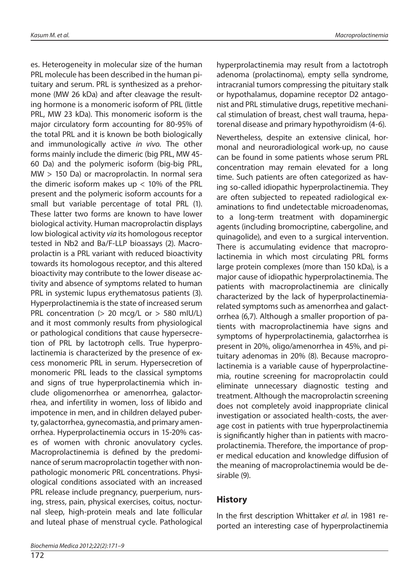es. Heterogeneity in molecular size of the human PRL molecule has been described in the human pituitary and serum. PRL is synthesized as a prehormone (MW 26 kDa) and after cleavage the resulting hormone is a monomeric isoform of PRL (little PRL, MW 23 kDa). This monomeric isoform is the major circulatory form accounting for 80-95% of the total PRL and it is known be both biologically and immunologically active in vivo. The other forms mainly include the dimeric (big PRL, MW 45- 60 Da) and the polymeric isoform (big-big PRL, MW > 150 Da) or macroprolactin. In normal sera the dimeric isoform makes up  $< 10\%$  of the PRL present and the polymeric isoform accounts for a small but variable percentage of total PRL (1). These latter two forms are known to have lower biological activity. Human macroprolactin displays low biological activity via its homologous receptor tested in Nb2 and Ba/F-LLP bioassays (2). Macroprolactin is a PRL variant with reduced bioactivity towards its homologous receptor, and this altered bioactivity may contribute to the lower disease activity and absence of symptoms related to human PRL in systemic lupus erythematosus patients (3). Hyperprolactinemia is the state of increased serum PRL concentration (> 20 mcg/L or > 580 mIU/L) and it most commonly results from physiological or pathological conditions that cause hypersecretion of PRL by lactotroph cells. True hyperprolactinemia is characterized by the presence of excess monomeric PRL in serum. Hypersecretion of monomeric PRL leads to the classical symptoms and signs of true hyperprolactinemia which include oligomenorrhea or amenorrhea, galactorrhea, and infertility in women, loss of libido and impotence in men, and in children delayed puberty, galactorrhea, gynecomastia, and primary amenorrhea. Hyperprolactinemia occurs in 15-20% cases of women with chronic anovulatory cycles. Macroprolactinemia is defined by the predominance of serum macroprolactin together with nonpathologic monomeric PRL concentrations. Physiological conditions associated with an increased PRL release include pregnancy, puerperium, nursing, stress, pain, physical exercises, coitus, nocturnal sleep, high-protein meals and late follicular and luteal phase of menstrual cycle. Pathological hyperprolactinemia may result from a lactotroph adenoma (prolactinoma), empty sella syndrome, intracranial tumors compressing the pituitary stalk or hypothalamus, dopamine receptor D2 antagonist and PRL stimulative drugs, repetitive mechanical stimulation of breast, chest wall trauma, hepatorenal disease and primary hypothyroidism (4-6).

Nevertheless, despite an extensive clinical, hormonal and neuroradiological work-up, no cause can be found in some patients whose serum PRL concentration may remain elevated for a long time. Such patients are often categorized as having so-called idiopathic hyperprolactinemia. They are often subjected to repeated radiological examinations to find undetectable microadenomas, to a long-term treatment with dopaminergic agents (including bromocriptine, cabergoline, and quinagolide), and even to a surgical intervention. There is accumulating evidence that macroprolactinemia in which most circulating PRL forms large protein complexes (more than 150 kDa), is a major cause of idiopathic hyperprolactinemia. The patients with macroprolactinemia are clinically characterized by the lack of hyperprolactinemiarelated symptoms such as amenorrhea and galactorrhea (6,7). Although a smaller proportion of patients with macroprolactinemia have signs and symptoms of hyperprolactinemia, galactorrhea is present in 20%, oligo/amenorrhea in 45%, and pituitary adenomas in 20% (8). Because macroprolactinemia is a variable cause of hyperprolactinemia, routine screening for macroprolactin could eliminate unnecessary diagnostic testing and treatment. Although the macroprolactin screening does not completely avoid inappropriate clinical investigation or associated health-costs, the average cost in patients with true hyperprolactinemia is significantly higher than in patients with macroprolactinemia. Therefore, the importance of proper medical education and knowledge diffusion of the meaning of macroprolactinemia would be desirable (9).

## **History**

In the first description Whittaker et al. in 1981 reported an interesting case of hyperprolactinemia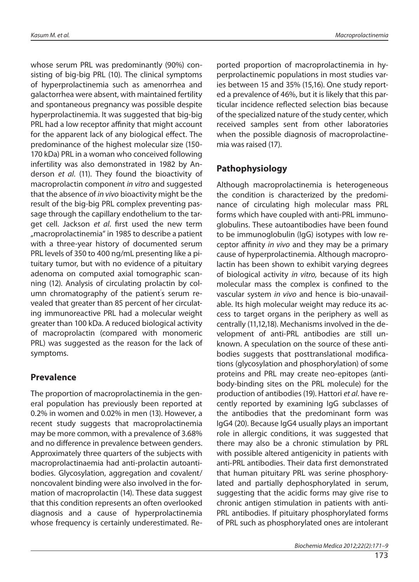whose serum PRL was predominantly (90%) consisting of big-big PRL (10). The clinical symptoms of hyperprolactinemia such as amenorrhea and galactorrhea were absent, with maintained fertility and spontaneous pregnancy was possible despite hyperprolactinemia. It was suggested that big-big PRL had a low receptor affinity that might account for the apparent lack of any biological effect. The predominance of the highest molecular size (150- 170 kDa) PRL in a woman who conceived following infertility was also demonstrated in 1982 by Anderson et al. (11). They found the bioactivity of macroprolactin component in vitro and suggested that the absence of in vivo bioactivity might be the result of the big-big PRL complex preventing passage through the capillary endothelium to the target cell. Jackson et al. first used the new term "macroprolactinemia" in 1985 to describe a patient with a three-year history of documented serum PRL levels of 350 to 400 ng/mL presenting like a pituitary tumor, but with no evidence of a pituitary adenoma on computed axial tomographic scanning (12). Analysis of circulating prolactin by column chromatography of the patient' s serum revealed that greater than 85 percent of her circulating immunoreactive PRL had a molecular weight greater than 100 kDa. A reduced biological activity of macroprolactin (compared with monomeric PRL) was suggested as the reason for the lack of symptoms.

## **Prevalence**

The proportion of macroprolactinemia in the general population has previously been reported at 0.2% in women and 0.02% in men (13). However, a recent study suggests that macroprolactinemia may be more common, with a prevalence of 3.68% and no difference in prevalence between genders. Approximately three quarters of the subjects with macroprolactinaemia had anti-prolactin autoantibodies. Glycosylation, aggregation and covalent/ noncovalent binding were also involved in the formation of macroprolactin (14). These data suggest that this condition represents an often overlooked diagnosis and a cause of hyperprolactinemia whose frequency is certainly underestimated. Reported proportion of macroprolactinemia in hyperprolactinemic populations in most studies varies between 15 and 35% (15,16). One study reported a prevalence of 46%, but it is likely that this particular incidence reflected selection bias because of the specialized nature of the study center, which received samples sent from other laboratories when the possible diagnosis of macroprolactinemia was raised (17).

# **Pathophysiology**

Although macroprolactinemia is heterogeneous the condition is characterized by the predominance of circulating high molecular mass PRL forms which have coupled with anti-PRL immunoglobulins. These autoantibodies have been found to be immunoglobulin (IgG) isotypes with low receptor affinity in vivo and they may be a primary cause of hyperprolactinemia. Although macroprolactin has been shown to exhibit varying degrees of biological activity in vitro, because of its high molecular mass the complex is confined to the vascular system in vivo and hence is bio-unavailable. Its high molecular weight may reduce its access to target organs in the periphery as well as centrally (11,12,18). Mechanisms involved in the development of anti-PRL antibodies are still unknown. A speculation on the source of these antibodies suggests that posttranslational modifications (glycosylation and phosphorylation) of some proteins and PRL may create neo-epitopes (antibody-binding sites on the PRL molecule) for the production of antibodies (19). Hattori et al. have recently reported by examining IgG subclasses of the antibodies that the predominant form was IgG4 (20). Because IgG4 usually plays an important role in allergic conditions, it was suggested that there may also be a chronic stimulation by PRL with possible altered antigenicity in patients with anti-PRL antibodies. Their data first demonstrated that human pituitary PRL was serine phosphorylated and partially dephosphorylated in serum, suggesting that the acidic forms may give rise to chronic antigen stimulation in patients with anti-PRL antibodies. If pituitary phosphorylated forms of PRL such as phosphorylated ones are intolerant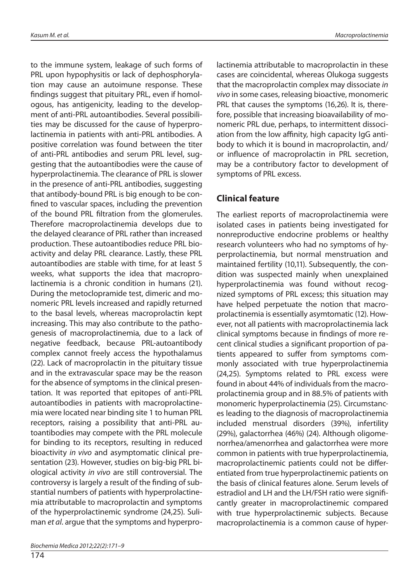to the immune system, leakage of such forms of PRL upon hypophysitis or lack of dephosphorylation may cause an autoimune response. These findings suggest that pituitary PRL, even if homologous, has antigenicity, leading to the development of anti-PRL autoantibodies. Several possibilities may be discussed for the cause of hyperprolactinemia in patients with anti-PRL antibodies. A positive correlation was found between the titer of anti-PRL antibodies and serum PRL level, suggesting that the autoantibodies were the cause of hyperprolactinemia. The clearance of PRL is slower in the presence of anti-PRL antibodies, suggesting that antibody-bound PRL is big enough to be confined to vascular spaces, including the prevention of the bound PRL filtration from the glomerules. Therefore macroprolactinemia develops due to the delayed clearance of PRL rather than increased production. These autoantibodies reduce PRL bioactivity and delay PRL clearance. Lastly, these PRL autoantibodies are stable with time, for at least 5 weeks, what supports the idea that macroprolactinemia is a chronic condition in humans (21). During the metoclopramide test, dimeric and monomeric PRL levels increased and rapidly returned to the basal levels, whereas macroprolactin kept increasing. This may also contribute to the pathogenesis of macroprolactinemia, due to a lack of negative feedback, because PRL-autoantibody complex cannot freely access the hypothalamus (22). Lack of macroprolactin in the pituitary tissue and in the extravascular space may be the reason for the absence of symptoms in the clinical presentation. It was reported that epitopes of anti-PRL autoantibodies in patients with macroprolactinemia were located near binding site 1 to human PRL receptors, raising a possibility that anti-PRL autoantibodies may compete with the PRL molecule for binding to its receptors, resulting in reduced bioactivity in vivo and asymptomatic clinical presentation (23). However, studies on big-big PRL biological activity in vivo are still controversial. The controversy is largely a result of the finding of substantial numbers of patients with hyperprolactinemia attributable to macroprolactin and symptoms of the hyperprolactinemic syndrome (24,25). Suliman et al. argue that the symptoms and hyperpro-

174

lactinemia attributable to macroprolactin in these cases are coincidental, whereas Olukoga suggests that the macroprolactin complex may dissociate in vivo in some cases, releasing bioactive, monomeric PRL that causes the symptoms (16,26). It is, therefore, possible that increasing bioavailability of monomeric PRL due, perhaps, to intermittent dissociation from the low affinity, high capacity IgG antibody to which it is bound in macroprolactin, and/ or influence of macroprolactin in PRL secretion, may be a contributory factor to development of symptoms of PRL excess.

# **Clinical feature**

The earliest reports of macroprolactinemia were isolated cases in patients being investigated for nonreproductive endocrine problems or healthy research volunteers who had no symptoms of hyperprolactinemia, but normal menstruation and maintained fertility (10,11). Subsequently, the condition was suspected mainly when unexplained hyperprolactinemia was found without recognized symptoms of PRL excess; this situation may have helped perpetuate the notion that macroprolactinemia is essentially asymtomatic (12). However, not all patients with macroprolactinemia lack clinical symptoms because in findings of more recent clinical studies a significant proportion of patients appeared to suffer from symptoms commonly associated with true hyperprolactinemia (24,25). Symptoms related to PRL excess were found in about 44% of individuals from the macroprolactinemia group and in 88.5% of patients with monomeric hyperprolactinemia (25). Circumstances leading to the diagnosis of macroprolactinemia included menstrual disorders (39%), infertility (29%), galactorrhea (46%) (24). Although oligomenorrhea/amenorrhea and galactorrhea were more common in patients with true hyperprolactinemia, macroprolactinemic patients could not be differentiated from true hyperprolactinemic patients on the basis of clinical features alone. Serum levels of estradiol and LH and the LH/FSH ratio were significantly greater in macroprolactinemic compared with true hyperprolactinemic subjects. Because macroprolactinemia is a common cause of hyper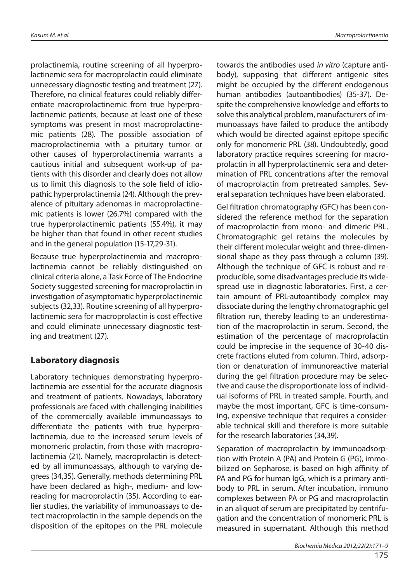prolactinemia, routine screening of all hyperprolactinemic sera for macroprolactin could eliminate unnecessary diagnostic testing and treatment (27). Therefore, no clinical features could reliably differentiate macroprolactinemic from true hyperprolactinemic patients, because at least one of these symptoms was present in most macroprolactinemic patients (28). The possible association of macroprolactinemia with a pituitary tumor or other causes of hyperprolactinemia warrants a cautious initial and subsequent work-up of patients with this disorder and clearly does not allow us to limit this diagnosis to the sole field of idiopathic hyperprolactinemia (24). Although the prevalence of pituitary adenomas in macroprolactinemic patients is lower (26.7%) compared with the true hyperprolactinemic patients (55.4%), it may be higher than that found in other recent studies and in the general population (15-17,29-31).

Because true hyperprolactinemia and macroprolactinemia cannot be reliably distinguished on clinical criteria alone, a Task Force of The Endocrine Society suggested screening for macroprolactin in investigation of asymptomatic hyperprolactinemic subjects (32,33). Routine screening of all hyperprolactinemic sera for macroprolactin is cost effective and could eliminate unnecessary diagnostic testing and treatment (27).

## **Laboratory diagnosis**

Laboratory techniques demonstrating hyperprolactinemia are essential for the accurate diagnosis and treatment of patients. Nowadays, laboratory professionals are faced with challenging inabilities of the commercially available immunoassays to differentiate the patients with true hyperprolactinemia, due to the increased serum levels of monomeric prolactin, from those with macroprolactinemia (21). Namely, macroprolactin is detected by all immunoassays, although to varying degrees (34,35). Generally, methods determining PRL have been declared as high-, medium- and lowreading for macroprolactin (35). According to earlier studies, the variability of immunoassays to detect macroprolactin in the sample depends on the disposition of the epitopes on the PRL molecule

towards the antibodies used in vitro (capture antibody), supposing that different antigenic sites might be occupied by the different endogenous human antibodies (autoantibodies) (35-37). Despite the comprehensive knowledge and efforts to solve this analytical problem, manufacturers of immunoassays have failed to produce the antibody which would be directed against epitope specific only for monomeric PRL (38). Undoubtedly, good laboratory practice requires screening for macroprolactin in all hyperprolactinemic sera and determination of PRL concentrations after the removal of macroprolactin from pretreated samples. Several separation techniques have been elaborated.

Gel filtration chromatography (GFC) has been considered the reference method for the separation of macroprolactin from mono- and dimeric PRL. Chromatographic gel retains the molecules by their different molecular weight and three-dimensional shape as they pass through a column (39). Although the technique of GFC is robust and reproducible, some disadvantages preclude its widespread use in diagnostic laboratories. First, a certain amount of PRL-autoantibody complex may dissociate during the lengthy chromatographic gel filtration run, thereby leading to an underestimation of the macroprolactin in serum. Second, the estimation of the percentage of macroprolactin could be imprecise in the sequence of 30-40 discrete fractions eluted from column. Third, adsorption or denaturation of immunoreactive material during the gel filtration procedure may be selective and cause the disproportionate loss of individual isoforms of PRL in treated sample. Fourth, and maybe the most important, GFC is time-consuming, expensive technique that requires a considerable technical skill and therefore is more suitable for the research laboratories (34,39).

Separation of macroprolactin by immunoadsorption with Protein A (PA) and Protein G (PG), immobilized on Sepharose, is based on high affinity of PA and PG for human IgG, which is a primary antibody to PRL in serum. After incubation, immuno complexes between PA or PG and macroprolactin in an aliquot of serum are precipitated by centrifugation and the concentration of monomeric PRL is measured in supernatant. Although this method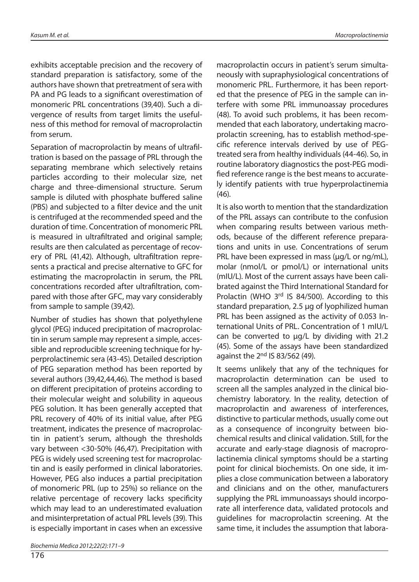exhibits acceptable precision and the recovery of standard preparation is satisfactory, some of the authors have shown that pretreatment of sera with PA and PG leads to a significant overestimation of monomeric PRL concentrations (39,40). Such a divergence of results from target limits the usefulness of this method for removal of macroprolactin from serum.

Separation of macroprolactin by means of ultrafiltration is based on the passage of PRL through the separating membrane which selectively retains particles according to their molecular size, net charge and three-dimensional structure. Serum sample is diluted with phosphate buffered saline (PBS) and subjected to a filter device and the unit is centrifuged at the recommended speed and the duration of time. Concentration of monomeric PRL is measured in ultrafiltrated and original sample; results are then calculated as percentage of recovery of PRL (41,42). Although, ultrafiltration represents a practical and precise alternative to GFC for estimating the macroprolactin in serum, the PRL concentrations recorded after ultrafiltration, compared with those after GFC, may vary considerably from sample to sample (39,42).

Number of studies has shown that polyethylene glycol (PEG) induced precipitation of macroprolactin in serum sample may represent a simple, accessible and reproducible screening technique for hyperprolactinemic sera (43-45). Detailed description of PEG separation method has been reported by several authors (39,42,44,46). The method is based on different precipitation of proteins according to their molecular weight and solubility in aqueous PEG solution. It has been generally accepted that PRL recovery of 40% of its initial value, after PEG treatment, indicates the presence of macroprolactin in patient's serum, although the thresholds vary between <30-50% (46,47). Precipitation with PEG is widely used screening test for macroprolactin and is easily performed in clinical laboratories. However, PEG also induces a partial precipitation of monomeric PRL (up to 25%) so reliance on the relative percentage of recovery lacks specificity which may lead to an underestimated evaluation and misinterpretation of actual PRL levels (39). This is especially important in cases when an excessive

176

macroprolactin occurs in patient's serum simultaneously with supraphysiological concentrations of monomeric PRL. Furthermore, it has been reported that the presence of PEG in the sample can interfere with some PRL immunoassay procedures (48). To avoid such problems, it has been recommended that each laboratory, undertaking macroprolactin screening, has to establish method-specific reference intervals derived by use of PEGtreated sera from healthy individuals (44-46). So, in routine laboratory diagnostics the post-PEG modified reference range is the best means to accurately identify patients with true hyperprolactinemia (46).

It is also worth to mention that the standardization of the PRL assays can contribute to the confusion when comparing results between various methods, because of the different reference preparations and units in use. Concentrations of serum PRL have been expressed in mass (µg/L or ng/mL), molar (nmol/L or pmol/L) or international units (mIU/L). Most of the current assays have been calibrated against the Third International Standard for Prolactin (WHO 3<sup>rd</sup> IS 84/500). According to this standard preparation, 2.5 µg of lyophilized human PRL has been assigned as the activity of 0.053 International Units of PRL. Concentration of 1 mIU/L can be converted to  $\mu$ g/L by dividing with 21.2 (45). Some of the assays have been standardized against the  $2<sup>nd</sup>$  IS 83/562 (49).

It seems unlikely that any of the techniques for macroprolactin determination can be used to screen all the samples analyzed in the clinical biochemistry laboratory. In the reality, detection of macroprolactin and awareness of interferences, distinctive to particular methods, usually come out as a consequence of incongruity between biochemical results and clinical validation. Still, for the accurate and early-stage diagnosis of macroprolactinemia clinical symptoms should be a starting point for clinical biochemists. On one side, it implies a close communication between a laboratory and clinicians and on the other, manufacturers supplying the PRL immunoassays should incorporate all interference data, validated protocols and guidelines for macroprolactin screening. At the same time, it includes the assumption that labora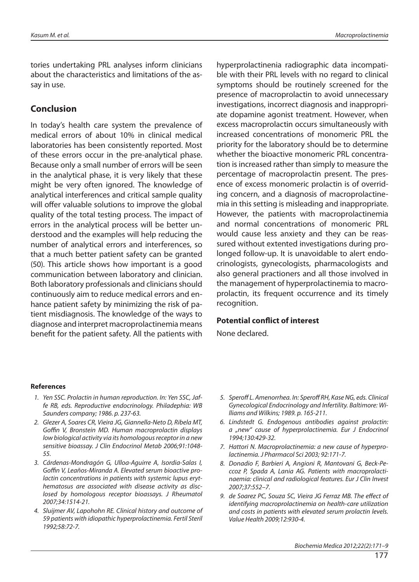tories undertaking PRL analyses inform clinicians about the characteristics and limitations of the assay in use.

## **Conclusion**

In today's health care system the prevalence of medical errors of about 10% in clinical medical laboratories has been consistently reported. Most of these errors occur in the pre-analytical phase. Because only a small number of errors will be seen in the analytical phase, it is very likely that these might be very often ignored. The knowledge of analytical interferences and critical sample quality will offer valuable solutions to improve the global quality of the total testing process. The impact of errors in the analytical process will be better understood and the examples will help reducing the number of analytical errors and interferences, so that a much better patient safety can be granted (50). This article shows how important is a good communication between laboratory and clinician. Both laboratory professionals and clinicians should continuously aim to reduce medical errors and enhance patient safety by minimizing the risk of patient misdiagnosis. The knowledge of the ways to diagnose and interpret macroprolactinemia means benefit for the patient safety. All the patients with hyperprolactinenia radiographic data incompatible with their PRL levels with no regard to clinical symptoms should be routinely screened for the presence of macroprolactin to avoid unnecessary investigations, incorrect diagnosis and inappropriate dopamine agonist treatment. However, when excess macroprolactin occurs simultaneously with increased concentrations of monomeric PRL the priority for the laboratory should be to determine whether the bioactive monomeric PRL concentration is increased rather than simply to measure the percentage of macroprolactin present. The presence of excess monomeric prolactin is of overriding concern, and a diagnosis of macroprolactinemia in this setting is misleading and inappropriate. However, the patients with macroprolactinemia and normal concentrations of monomeric PRL would cause less anxiety and they can be reassured without extented investigations during prolonged follow-up. It is unavoidable to alert endocrinologists, gynecologists, pharmacologists and also general practioners and all those involved in the management of hyperprolactinemia to macroprolactin, its frequent occurrence and its timely recognition.

### **Potential conflict of interest**

None declared.

#### **References**

- 1. Yen SSC. Prolactin in human reproduction. In: Yen SSC, Jaffe RB, eds. Reproductive endocrinology. Philadephia: WB Saunders company; 1986. p. 237-63.
- 2. Glezer A, Soares CR, Vieira JG, Giannella-Neto D, Ribela MT, Goffin V, Bronstein MD. Human macroprolactin displays low biological activity via its homologous receptor in a new sensitive bioassay. J Clin Endocrinol Metab 2006;91:1048- 55.
- 3. Cárdenas-Mondragón G, Ulloa-Aguirre A, Isordia-Salas I, Goffin V, Leaños-Miranda A. Elevated serum bioactive prolactin concentrations in patients with systemic lupus erythematosus are associated with disease activity as disclosed by homologous receptor bioassays. J Rheumatol 2007;34:1514-21.
- 4. Sluijmer AV, Lapohohn RE. Clinical history and outcome of 59 patients with idiopathic hyperprolactinemia. Fertil Steril 1992;58:72-7.
- 5. Speroff L. Amenorrhea. In: Speroff RH, Kase NG, eds. Clinical Gynecological Endocrinology and Infertility. Baltimore: Williams and Wilkins; 1989. p. 165-211.
- 6. Lindstedt G. Endogenous antibodies against prolactin: a "new" cause of hyperprolactinemia. Eur J Endocrinol 1994;130:429-32.
- 7. Hattori N. Macroprolactinemia: a new cause of hyperprolactinemia. J Pharmacol Sci 2003; 92:171-7.
- 8. Donadio F, Barbieri A, Angioni R, Mantovani G, Beck-Peccoz P, Spada A, Lania AG. Patients with macroprolactinaemia: clinical and radiological features. Eur J Clin Invest 2007;37:552–7.
- 9. de Soarez PC, Souza SC, Vieira JG Ferraz MB. The effect of identifying macroprolactinemia on health-care utilization and costs in patients with elevated serum prolactin levels. Value Health 2009;12:930-4.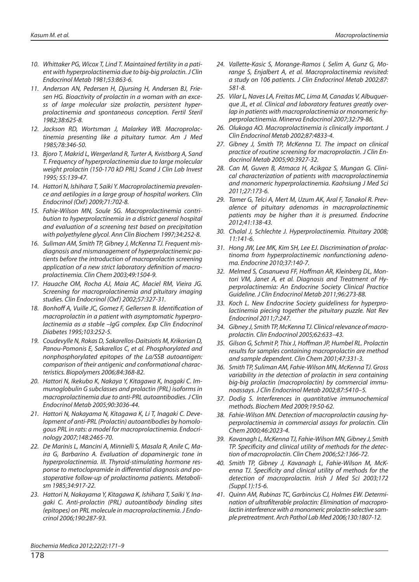- 10. Whittaker PG, Wicox T, Lind T. Maintained fertility in a patient with hyperprolactinemia due to big-big prolactin. J Clin Endocrinol Metab 1981;53:863-6.
- 11. Anderson AN, Pedersen H, Djursing H, Andersen BJ, Friesen HG. Bioactivity of prolactin in a woman with an excess of large molecular size prolactin, persistent hyperprolactinemia and spontaneous conception. Fertil Steril 1982;38:625-8.
- 12. Jackson RD, Wortsman J, Malarkey WB. Macroprolactinemia presenting like a pituitary tumor. Am J Med 1985;78:346-50.
- 13. Bjoro T, Makrid L, Wergerland R, Turter A, Kvistborg A, Sand T. Frequency of hyperprolactinemia due to large molecular weight prolactin (150-170 kD PRL) Scand J Clin Lab Invest 1995; 55:139-47.
- 14. Hattori N, Ishihara T, Saiki Y. Macroprolactinemia prevalence and aetilogies in a large group of hospital workers. Clin Endocrinol (Oxf) 2009;71:702-8.
- 15. Fahie-Wilson MN, Soule SG. Macroprolactinemia contribution to hyperprolactinemia in a district general hospital and evaluation of a screening test based on precipitation with polyethylene glycol. Ann Clin Biochem 1997;34:252-8.
- 16. Suliman AM, Smith TP, Gibney J, McKenna TJ. Frequent misdiagnosis and mismanagement of hyperprolactinemic patients before the introduction of macroprolactin screening application of a new strict laboratory definition of macroprolactinemia. Clin Chem 2003;49:1504-9.
- 17. Hauache OM, Rocha AJ, Maia AC, Maciel RM, Vieira JG. Screening for macroprolactinemia and pituitary imaging studies. Clin Endocrinol (Oxf) 2002;57:327-31.
- 18. Bonhoff A, Vuille JC, Gomez F, Gellersen B. Identification of macroprolactin in a patient with asymptomatic hyperprolactinemia as a stable –IgG complex. Exp Clin Endocrinol Diabetes 1995;103:252-5.
- 19. Coudevylle N, Rokas D, Sakarellos-Daitsiotis M, Krikorian D, Panou-Pomonis E, Sakarellos C, et al. Phosphorylated and nonphosphorylated epitopes of the La/SSB autoantigen: comparison of their antigenic and conformational characteristics. Biopolymers 2006;84:368-82.
- 20. Hattori N, Ikekubo K, Nakaya Y, Kitagawa K, Inagaki C. Immunoglobulin G subclasses and prolactin (PRL) isoforms in macroprolactinemia due to anti-PRL autoantibodies. J Clin Endocrinol Metab 2005;90:3036-44.
- 21. Hattori N, Nakayama N, Kitagawa K, Li T, Inagaki C. Development of anti-PRL (Prolactin) autoantibodies by homologous PRL in rats: a model for macroprolactinemia. Endocrinology 2007;148:2465-70.
- 22. De Marinis L, Mancini A, Minnielli S, Masala R, Anile C, Maira G, Barbarino A. Evaluation of dopaminergic tone in hyperprolactinemia. III. Thyroid-stimulating hormone response to metoclopramide in differential diagnosis and postoperative follow-up of prolactinoma patients. Metabolism 1985;34:917-22.
- 23. Hattori N, Nakayama Y, Kitagawa K, Ishihara T, Saiki Y, Inagaki C. Anti-prolactin (PRL) autoantibody binding sites (epitopes) on PRL molecule in macroprolactinemia. J Endocrinol 2006;190:287-93.
- 24. Vallette-Kasic S, Morange-Ramos I, Selim A, Gunz G, Morange S, Enjalbert A, et al. Macroprolactinemia revisited: a study on 106 patients. J Clin Endocrinol Metab 2002;87: 581-8.
- 25. Vilar L, Naves LA, Freitas MC, Lima M, Canadas V, Albuquerque JL, et al. Clinical and laboratory features greatly overlap in patients with macroprolactinemia or monomeric hyperprolactinemia. Minerva Endocrinol 2007;32:79-86.
- 26. Olukoga AO. Macroprolactinemia is clinically important. J Clin Endocrinol Metab 2002;87:4833-4.
- 27. Gibney J, Smith TP, McKenna TJ. The impact on clinical practice of routine screening for macroprolactin. J Clin Endocrinol Metab 2005;90:3927-32.
- 28. Can M, Guven B, Atmaca H, Acikgoz S, Mungan G. Clinical characterization of patients with macroprolactinemia and monomeric hyperprolactinemia. Kaohsiung J Med Sci 2011;27:173-6.
- 29. Tamer G, Telci A, Mert M, Uzum AK, Aral F, Tanakol R. Prevalence of pituitary adenomas in macroprolactinemic patients may be higher than it is presumed. Endocrine 2012;41:138-43.
- 30. Chalal J, Schlechte J. Hyperprolactinemia. Pituitary 2008; 11:141-6.
- 31. Hong JW, Lee MK, Kim SH, Lee EJ. Discrimination of prolactinoma from hyperprolactinemic nonfunctioning adenoma. Endocrine 2010;37:140-7.
- 32. Melmed S, Casanueva FF, Hoffman AR, Kleinberg DL, Montori VM, Janet A, et al. Diagnosis and Treatment of Hyperprolactinemia: An Endocrine Society Clinical Practice Guideline. J Clin Endocrinol Metab 2011;96:273-88.
- 33. Koch L. New Endocrine Society guideliness for hyperprolactinemia piecing together the pituitary puzzle. Nat Rev Endocrinol 2011;7:247.
- 34. Gibney J, Smith TP, McKenna TJ. Clinical relevance of macroprolactin. Clin Endocrinol 2005;62:633–43.
- 35. Gilson G, Schmit P, Thix J, Hoffman JP, Humbel RL. Prolactin results for samples containing macroprolactin are method and sample dependent. Clin Chem 2001;47:331-3.
- 36. Smith TP, Suliman AM, Fahie-Wilson MN, McKenna TJ. Gross variability in the detection of prolactin in sera containing big-big prolactin (macroprolactin) by commercial immunoassays. J Clin Endocrinol Metab 2002;87:5410–5.
- 37. Dodig S. Interferences in quantitative immunochemical methods. Biochem Med 2009;19:50-62.
- 38. Fahie-Wilson MN. Detection of macroprolactin causing hyperprolactinemia in commercial assays for prolactin. Clin Chem 2000;46:2023-4.
- 39. Kavanagh L, McKenna TJ, Fahie-Wilson MN, Gibney J, Smith TP. Specificity and clinical utility of methods for the detection of macroprolactin. Clin Chem 2006;52:1366-72.
- 40. Smith TP, Gibney J, Kavanagh L, Fahie-Wilson M, McKenna TJ. Specificity and clinical utility of methods for the detection of macroprolactin. Irish J Med Sci 2003;172 (Suppl.1):15-6.
- 41. Quinn AM, Rubinas TC, Garbincius CJ, Holmes EW. Determination of ultrafilterable prolactin: Elimination of macroprolactin interference with a monomeric prolactin-selective sample pretreatment. Arch Pathol Lab Med 2006;130:1807-12.